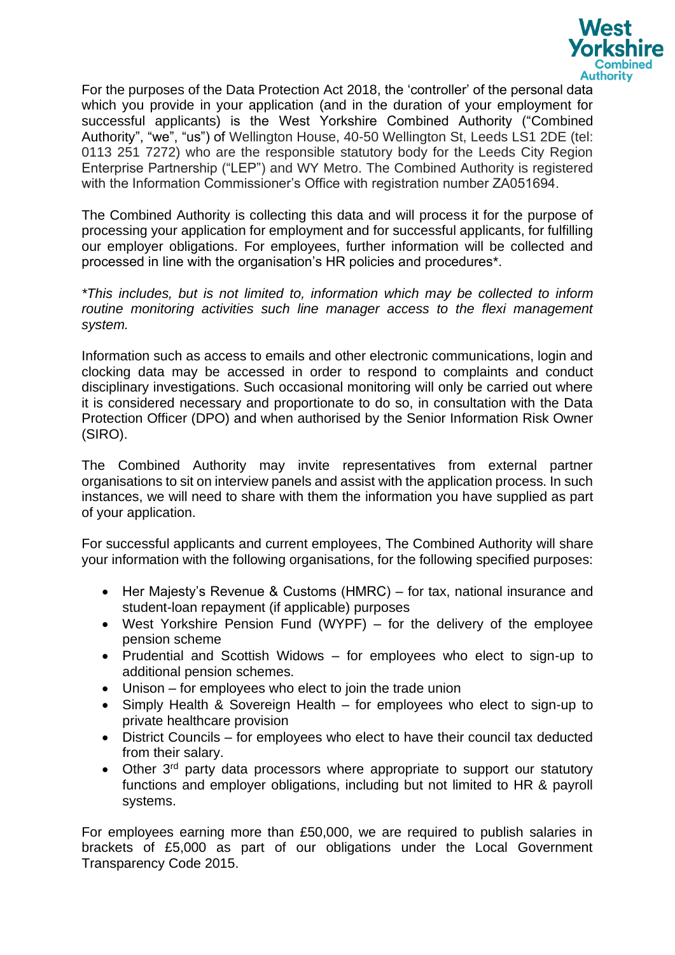

For the purposes of the Data Protection Act 2018, the 'controller' of the personal data which you provide in your application (and in the duration of your employment for successful applicants) is the West Yorkshire Combined Authority ("Combined Authority", "we", "us") of Wellington House, 40-50 Wellington St, Leeds LS1 2DE (tel: 0113 251 7272) who are the responsible statutory body for the Leeds City Region Enterprise Partnership ("LEP") and WY Metro. The Combined Authority is registered with the Information Commissioner's Office with registration number ZA051694.

The Combined Authority is collecting this data and will process it for the purpose of processing your application for employment and for successful applicants, for fulfilling our employer obligations. For employees, further information will be collected and processed in line with the organisation's HR policies and procedures\*.

*\*This includes, but is not limited to, information which may be collected to inform routine monitoring activities such line manager access to the flexi management system.*

Information such as access to emails and other electronic communications, login and clocking data may be accessed in order to respond to complaints and conduct disciplinary investigations. Such occasional monitoring will only be carried out where it is considered necessary and proportionate to do so, in consultation with the Data Protection Officer (DPO) and when authorised by the Senior Information Risk Owner (SIRO).

The Combined Authority may invite representatives from external partner organisations to sit on interview panels and assist with the application process. In such instances, we will need to share with them the information you have supplied as part of your application.

For successful applicants and current employees, The Combined Authority will share your information with the following organisations, for the following specified purposes:

- Her Majesty's Revenue & Customs (HMRC) for tax, national insurance and student-loan repayment (if applicable) purposes
- West Yorkshire Pension Fund (WYPF) for the delivery of the employee pension scheme
- Prudential and Scottish Widows for employees who elect to sign-up to additional pension schemes.
- Unison for employees who elect to join the trade union
- Simply Health & Sovereign Health for employees who elect to sign-up to private healthcare provision
- District Councils for employees who elect to have their council tax deducted from their salary.
- Other 3<sup>rd</sup> party data processors where appropriate to support our statutory functions and employer obligations, including but not limited to HR & payroll systems.

For employees earning more than £50,000, we are required to publish salaries in brackets of £5,000 as part of our obligations under the Local Government Transparency Code 2015.